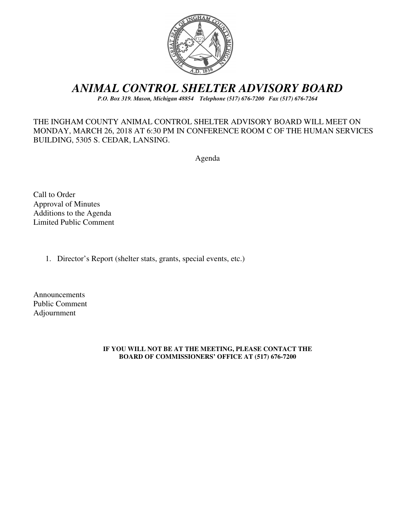

# *ANIMAL CONTROL SHELTER ADVISORY BOARD*

*P.O. Box 319. Mason, Michigan 48854 Telephone (517) 676-7200 Fax (517) 676-7264*

### THE INGHAM COUNTY ANIMAL CONTROL SHELTER ADVISORY BOARD WILL MEET ON MONDAY, MARCH 26, 2018 AT 6:30 PM IN CONFERENCE ROOM C OF THE HUMAN SERVICES BUILDING, 5305 S. CEDAR, LANSING.

Agenda

Call to Order Approval of Minutes Additions to the Agenda Limited Public Comment

1. Director's Report (shelter stats, grants, special events, etc.)

Announcements Public Comment Adjournment

#### **IF YOU WILL NOT BE AT THE MEETING, PLEASE CONTACT THE BOARD OF COMMISSIONERS' OFFICE AT (517) 676-7200**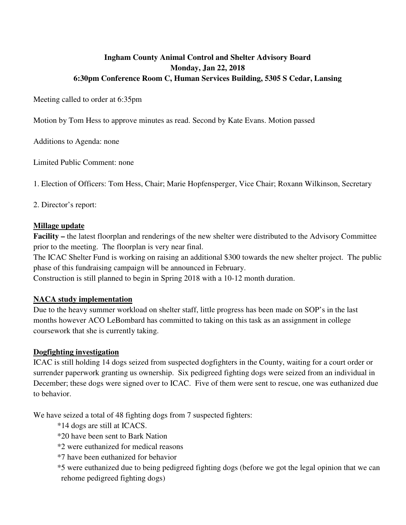## **Ingham County Animal Control and Shelter Advisory Board Monday, Jan 22, 2018 6:30pm Conference Room C, Human Services Building, 5305 S Cedar, Lansing**

Meeting called to order at 6:35pm

Motion by Tom Hess to approve minutes as read. Second by Kate Evans. Motion passed

Additions to Agenda: none

Limited Public Comment: none

1. Election of Officers: Tom Hess, Chair; Marie Hopfensperger, Vice Chair; Roxann Wilkinson, Secretary

#### 2. Director's report:

#### **Millage update**

**Facility –** the latest floorplan and renderings of the new shelter were distributed to the Advisory Committee prior to the meeting. The floorplan is very near final.

The ICAC Shelter Fund is working on raising an additional \$300 towards the new shelter project. The public phase of this fundraising campaign will be announced in February.

Construction is still planned to begin in Spring 2018 with a 10-12 month duration.

#### **NACA study implementation**

Due to the heavy summer workload on shelter staff, little progress has been made on SOP's in the last months however ACO LeBombard has committed to taking on this task as an assignment in college coursework that she is currently taking.

### **Dogfighting investigation**

ICAC is still holding 14 dogs seized from suspected dogfighters in the County, waiting for a court order or surrender paperwork granting us ownership. Six pedigreed fighting dogs were seized from an individual in December; these dogs were signed over to ICAC. Five of them were sent to rescue, one was euthanized due to behavior.

We have seized a total of 48 fighting dogs from 7 suspected fighters:

- \*14 dogs are still at ICACS.
- \*20 have been sent to Bark Nation
- \*2 were euthanized for medical reasons
- \*7 have been euthanized for behavior
- \*5 were euthanized due to being pedigreed fighting dogs (before we got the legal opinion that we can rehome pedigreed fighting dogs)